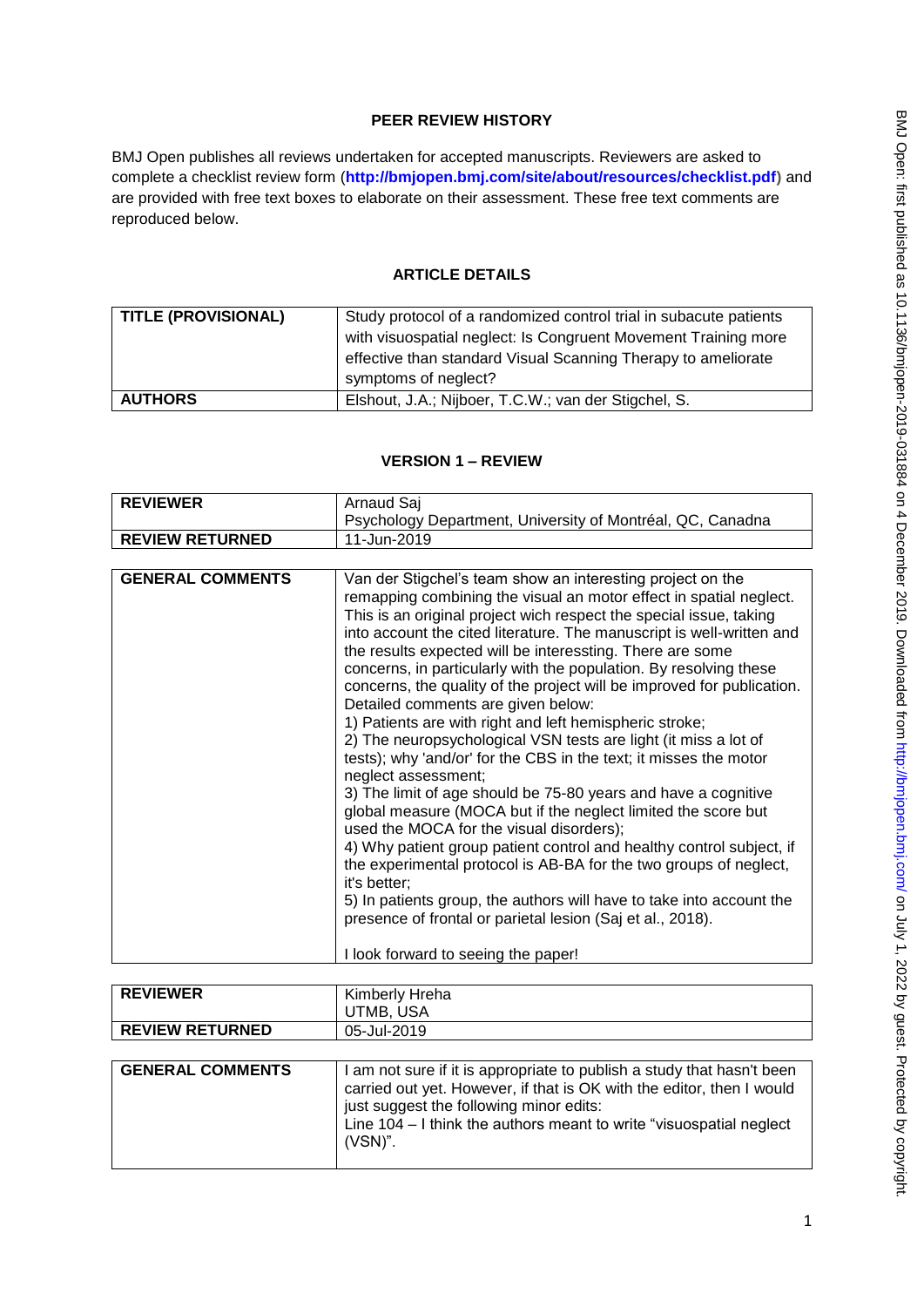# **PEER REVIEW HISTORY**

BMJ Open publishes all reviews undertaken for accepted manuscripts. Reviewers are asked to complete a checklist review form (**[http://bmjopen.bmj.com/site/about/resources/checklist.pdf\)](http://bmjopen.bmj.com/site/about/resources/checklist.pdf)** and are provided with free text boxes to elaborate on their assessment. These free text comments are reproduced below.

# **ARTICLE DETAILS**

| <b>TITLE (PROVISIONAL)</b> | Study protocol of a randomized control trial in subacute patients<br>with visuospatial neglect: Is Congruent Movement Training more<br>effective than standard Visual Scanning Therapy to ameliorate |
|----------------------------|------------------------------------------------------------------------------------------------------------------------------------------------------------------------------------------------------|
|                            | symptoms of neglect?                                                                                                                                                                                 |
| <b>AUTHORS</b>             | Elshout, J.A.; Nijboer, T.C.W.; van der Stigchel, S.                                                                                                                                                 |

## **VERSION 1 – REVIEW**

| <b>REVIEWER</b>        | Arnaud Saj<br>Psychology Department, University of Montréal, QC, Canadna |
|------------------------|--------------------------------------------------------------------------|
| <b>REVIEW RETURNED</b> | 11-Jun-2019                                                              |

| <b>GENERAL COMMENTS</b> | Van der Stigchel's team show an interesting project on the<br>remapping combining the visual an motor effect in spatial neglect.<br>This is an original project wich respect the special issue, taking<br>into account the cited literature. The manuscript is well-written and<br>the results expected will be interessting. There are some<br>concerns, in particularly with the population. By resolving these<br>concerns, the quality of the project will be improved for publication.<br>Detailed comments are given below:<br>1) Patients are with right and left hemispheric stroke;<br>2) The neuropsychological VSN tests are light (it miss a lot of<br>tests); why 'and/or' for the CBS in the text; it misses the motor<br>neglect assessment;<br>3) The limit of age should be 75-80 years and have a cognitive<br>global measure (MOCA but if the neglect limited the score but<br>used the MOCA for the visual disorders);<br>4) Why patient group patient control and healthy control subject, if<br>the experimental protocol is AB-BA for the two groups of neglect,<br>it's better;<br>5) In patients group, the authors will have to take into account the<br>presence of frontal or parietal lesion (Saj et al., 2018). |
|-------------------------|-----------------------------------------------------------------------------------------------------------------------------------------------------------------------------------------------------------------------------------------------------------------------------------------------------------------------------------------------------------------------------------------------------------------------------------------------------------------------------------------------------------------------------------------------------------------------------------------------------------------------------------------------------------------------------------------------------------------------------------------------------------------------------------------------------------------------------------------------------------------------------------------------------------------------------------------------------------------------------------------------------------------------------------------------------------------------------------------------------------------------------------------------------------------------------------------------------------------------------------------------|
|                         | I look forward to seeing the paper!                                                                                                                                                                                                                                                                                                                                                                                                                                                                                                                                                                                                                                                                                                                                                                                                                                                                                                                                                                                                                                                                                                                                                                                                           |

| <b>REVIEWER</b>        | Kimberly Hreha<br>UTMB, USA |
|------------------------|-----------------------------|
| <b>REVIEW RETURNED</b> | 05-Jul-2019                 |

| <b>GENERAL COMMENTS</b> | I am not sure if it is appropriate to publish a study that hasn't been<br>carried out yet. However, if that is OK with the editor, then I would<br>just suggest the following minor edits:<br>Line $104 - I$ think the authors meant to write "visuospatial neglect<br>(VSN)". |
|-------------------------|--------------------------------------------------------------------------------------------------------------------------------------------------------------------------------------------------------------------------------------------------------------------------------|
|                         |                                                                                                                                                                                                                                                                                |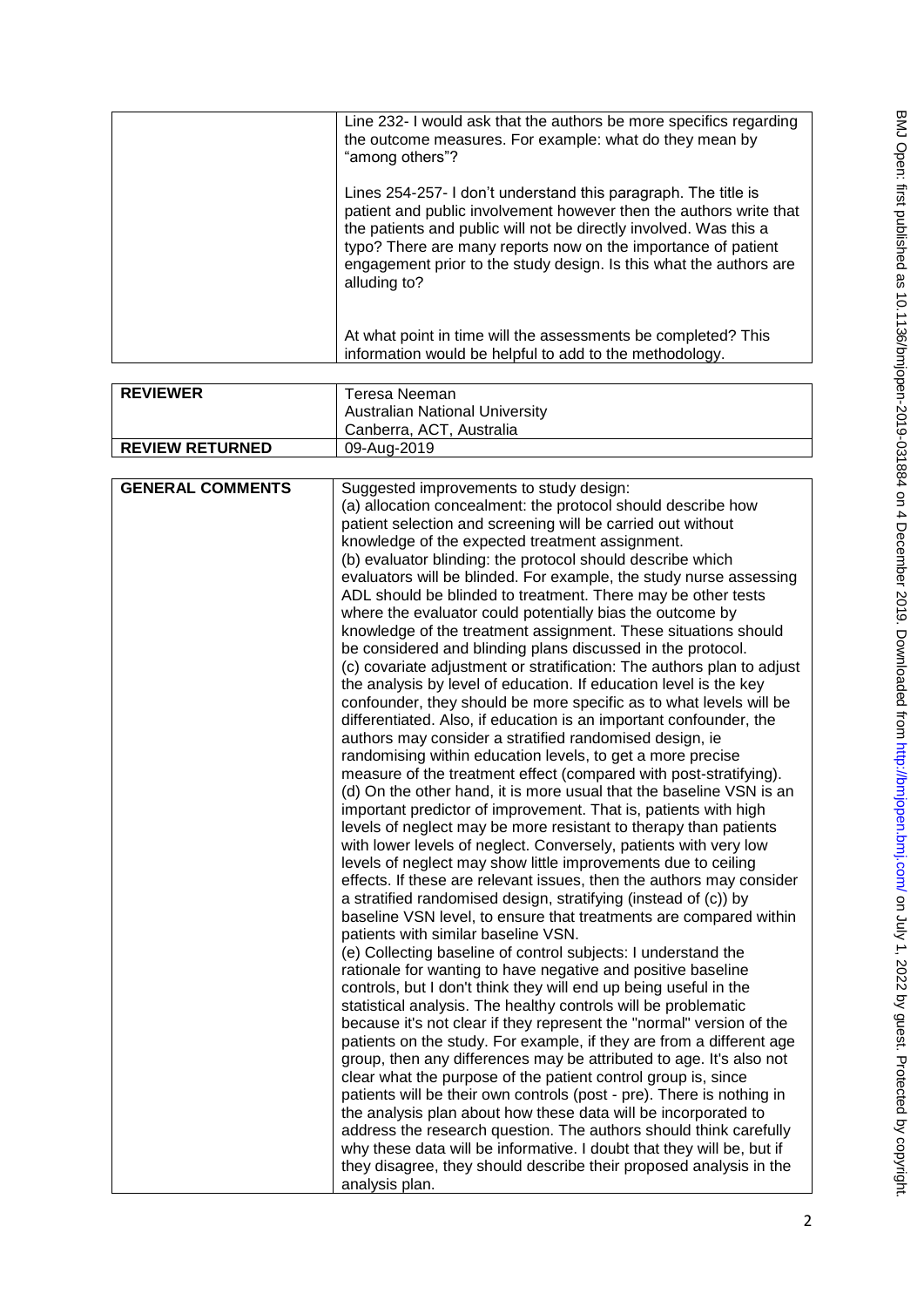| Line 232- I would ask that the authors be more specifics regarding<br>the outcome measures. For example: what do they mean by<br>"among others"?                                                                                                                                                                                                                 |
|------------------------------------------------------------------------------------------------------------------------------------------------------------------------------------------------------------------------------------------------------------------------------------------------------------------------------------------------------------------|
| Lines 254-257- I don't understand this paragraph. The title is<br>patient and public involvement however then the authors write that<br>the patients and public will not be directly involved. Was this a<br>typo? There are many reports now on the importance of patient<br>engagement prior to the study design. Is this what the authors are<br>alluding to? |
| At what point in time will the assessments be completed? This<br>information would be helpful to add to the methodology.                                                                                                                                                                                                                                         |

| <b>REVIEWER</b>        | Teresa Neeman                         |
|------------------------|---------------------------------------|
|                        | <b>Australian National University</b> |
|                        | ' Canberra, ACT, Australia            |
| <b>REVIEW RETURNED</b> | 09-Aug-2019                           |

| <b>GENERAL COMMENTS</b> | Suggested improvements to study design:                                |
|-------------------------|------------------------------------------------------------------------|
|                         |                                                                        |
|                         | (a) allocation concealment: the protocol should describe how           |
|                         | patient selection and screening will be carried out without            |
|                         | knowledge of the expected treatment assignment.                        |
|                         | (b) evaluator blinding: the protocol should describe which             |
|                         | evaluators will be blinded. For example, the study nurse assessing     |
|                         | ADL should be blinded to treatment. There may be other tests           |
|                         | where the evaluator could potentially bias the outcome by              |
|                         | knowledge of the treatment assignment. These situations should         |
|                         | be considered and blinding plans discussed in the protocol.            |
|                         | (c) covariate adjustment or stratification: The authors plan to adjust |
|                         | the analysis by level of education. If education level is the key      |
|                         | confounder, they should be more specific as to what levels will be     |
|                         |                                                                        |
|                         | differentiated. Also, if education is an important confounder, the     |
|                         | authors may consider a stratified randomised design, ie                |
|                         | randomising within education levels, to get a more precise             |
|                         | measure of the treatment effect (compared with post-stratifying).      |
|                         | (d) On the other hand, it is more usual that the baseline VSN is an    |
|                         | important predictor of improvement. That is, patients with high        |
|                         | levels of neglect may be more resistant to therapy than patients       |
|                         | with lower levels of neglect. Conversely, patients with very low       |
|                         | levels of neglect may show little improvements due to ceiling          |
|                         | effects. If these are relevant issues, then the authors may consider   |
|                         | a stratified randomised design, stratifying (instead of (c)) by        |
|                         | baseline VSN level, to ensure that treatments are compared within      |
|                         | patients with similar baseline VSN.                                    |
|                         | (e) Collecting baseline of control subjects: I understand the          |
|                         | rationale for wanting to have negative and positive baseline           |
|                         | controls, but I don't think they will end up being useful in the       |
|                         |                                                                        |
|                         | statistical analysis. The healthy controls will be problematic         |
|                         | because it's not clear if they represent the "normal" version of the   |
|                         | patients on the study. For example, if they are from a different age   |
|                         | group, then any differences may be attributed to age. It's also not    |
|                         | clear what the purpose of the patient control group is, since          |
|                         | patients will be their own controls (post - pre). There is nothing in  |
|                         | the analysis plan about how these data will be incorporated to         |
|                         | address the research question. The authors should think carefully      |
|                         | why these data will be informative. I doubt that they will be, but if  |
|                         | they disagree, they should describe their proposed analysis in the     |
|                         | analysis plan.                                                         |
|                         |                                                                        |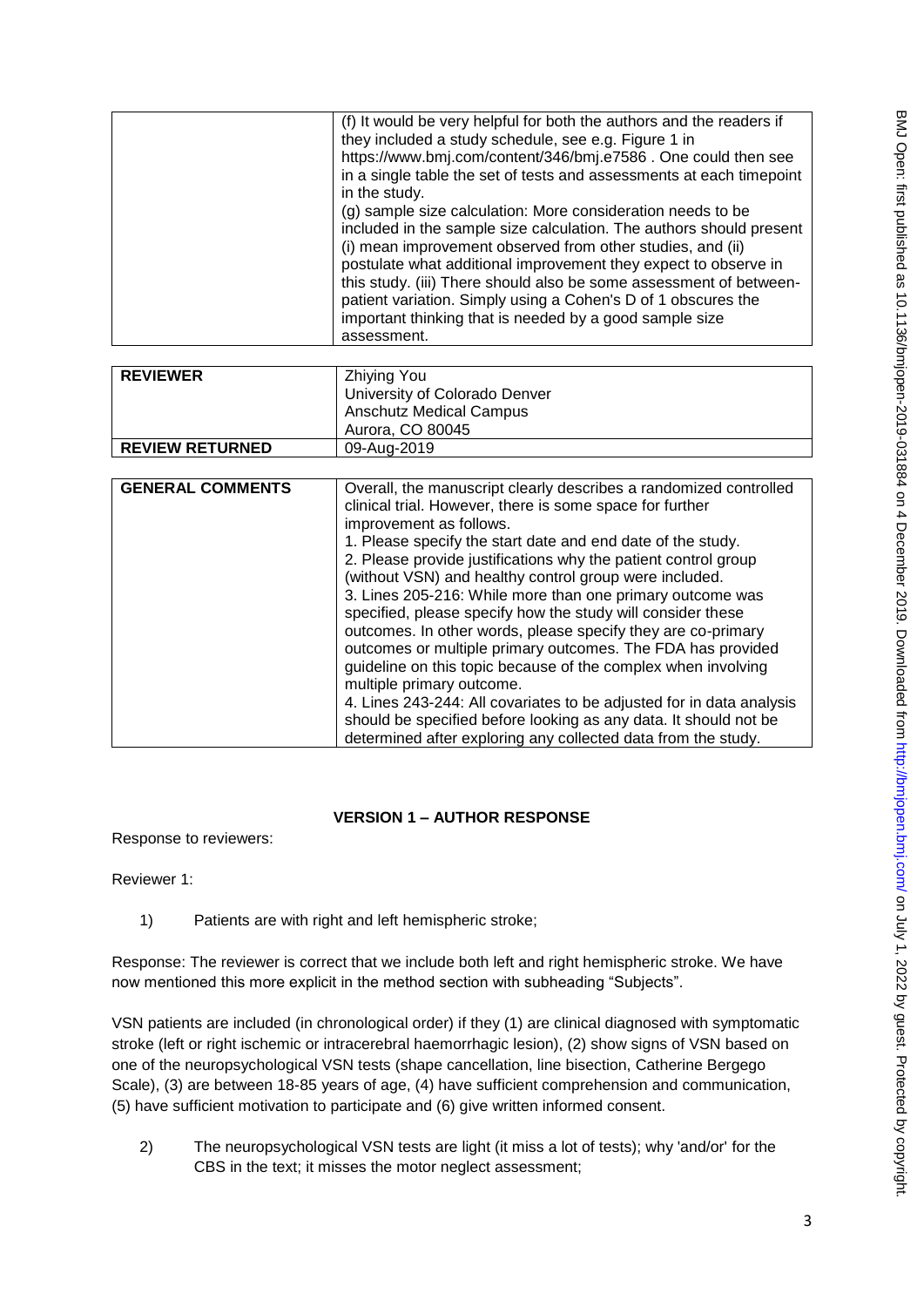| (f) It would be very helpful for both the authors and the readers if<br>they included a study schedule, see e.g. Figure 1 in<br>https://www.bmj.com/content/346/bmj.e7586. One could then see<br>in a single table the set of tests and assessments at each timepoint<br>in the study.<br>(g) sample size calculation: More consideration needs to be<br>included in the sample size calculation. The authors should present<br>(i) mean improvement observed from other studies, and (ii)<br>postulate what additional improvement they expect to observe in<br>this study. (iii) There should also be some assessment of between-<br>patient variation. Simply using a Cohen's D of 1 obscures the<br>important thinking that is needed by a good sample size |
|-----------------------------------------------------------------------------------------------------------------------------------------------------------------------------------------------------------------------------------------------------------------------------------------------------------------------------------------------------------------------------------------------------------------------------------------------------------------------------------------------------------------------------------------------------------------------------------------------------------------------------------------------------------------------------------------------------------------------------------------------------------------|
| assessment.                                                                                                                                                                                                                                                                                                                                                                                                                                                                                                                                                                                                                                                                                                                                                     |

| <b>REVIEWER</b>        | Zhiying You                    |
|------------------------|--------------------------------|
|                        | University of Colorado Denver  |
|                        | <b>Anschutz Medical Campus</b> |
|                        | Aurora, CO 80045               |
| <b>REVIEW RETURNED</b> | 09-Aug-2019                    |

| <b>GENERAL COMMENTS</b> | Overall, the manuscript clearly describes a randomized controlled<br>clinical trial. However, there is some space for further<br>improvement as follows. |
|-------------------------|----------------------------------------------------------------------------------------------------------------------------------------------------------|
|                         | 1. Please specify the start date and end date of the study.                                                                                              |
|                         | 2. Please provide justifications why the patient control group                                                                                           |
|                         | (without VSN) and healthy control group were included.                                                                                                   |
|                         | 3. Lines 205-216: While more than one primary outcome was                                                                                                |
|                         | specified, please specify how the study will consider these                                                                                              |
|                         | outcomes. In other words, please specify they are co-primary                                                                                             |
|                         | outcomes or multiple primary outcomes. The FDA has provided                                                                                              |
|                         | guideline on this topic because of the complex when involving                                                                                            |
|                         | multiple primary outcome.                                                                                                                                |
|                         | 4. Lines 243-244: All covariates to be adjusted for in data analysis                                                                                     |
|                         | should be specified before looking as any data. It should not be<br>determined after exploring any collected data from the study.                        |

## **VERSION 1 – AUTHOR RESPONSE**

Response to reviewers:

Reviewer 1:

1) Patients are with right and left hemispheric stroke;

Response: The reviewer is correct that we include both left and right hemispheric stroke. We have now mentioned this more explicit in the method section with subheading "Subjects".

VSN patients are included (in chronological order) if they (1) are clinical diagnosed with symptomatic stroke (left or right ischemic or intracerebral haemorrhagic lesion), (2) show signs of VSN based on one of the neuropsychological VSN tests (shape cancellation, line bisection, Catherine Bergego Scale), (3) are between 18-85 years of age, (4) have sufficient comprehension and communication, (5) have sufficient motivation to participate and (6) give written informed consent.

2) The neuropsychological VSN tests are light (it miss a lot of tests); why 'and/or' for the CBS in the text; it misses the motor neglect assessment;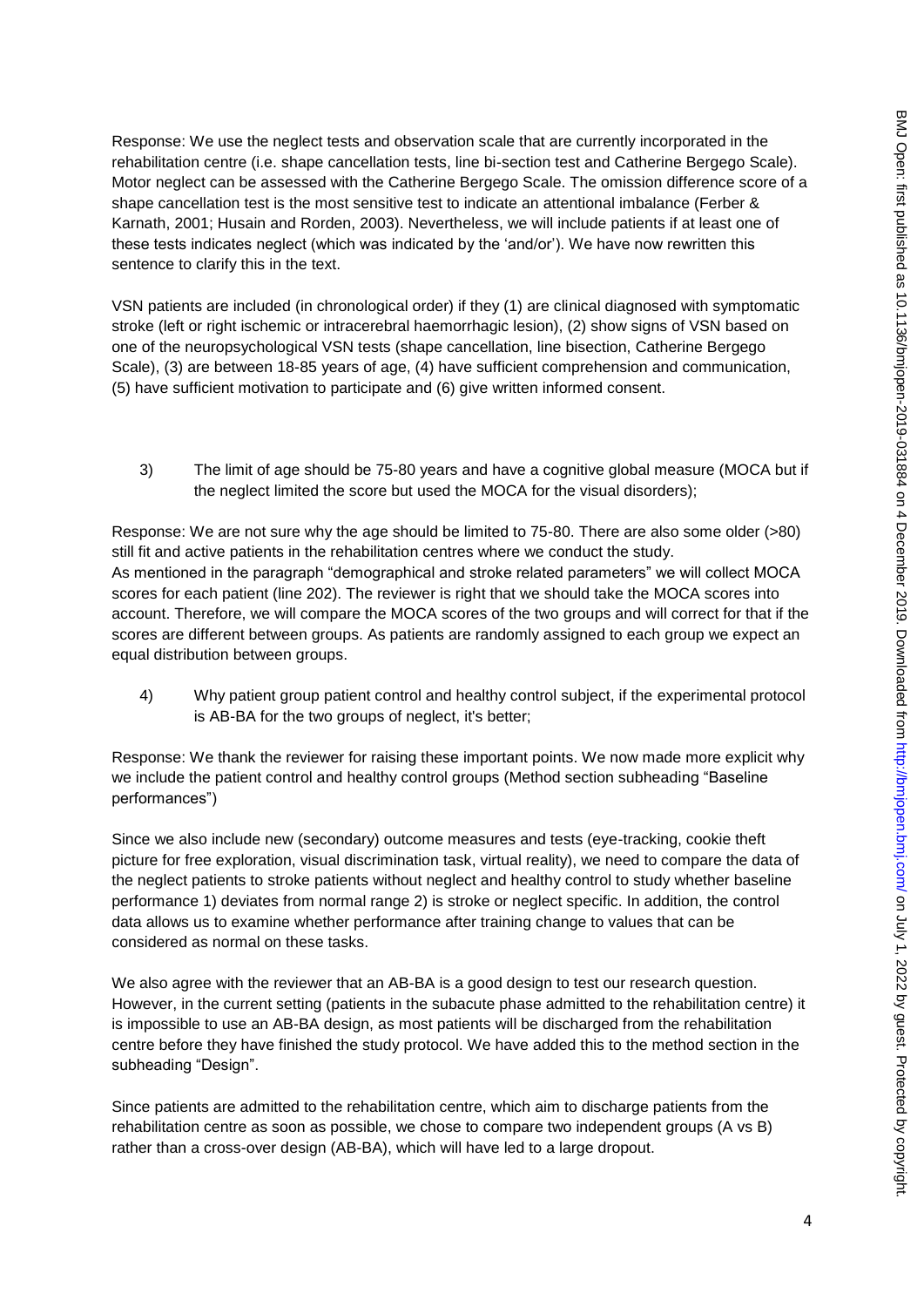Response: We use the neglect tests and observation scale that are currently incorporated in the rehabilitation centre (i.e. shape cancellation tests, line bi-section test and Catherine Bergego Scale). Motor neglect can be assessed with the Catherine Bergego Scale. The omission difference score of a shape cancellation test is the most sensitive test to indicate an attentional imbalance (Ferber & Karnath, 2001; Husain and Rorden, 2003). Nevertheless, we will include patients if at least one of these tests indicates neglect (which was indicated by the 'and/or'). We have now rewritten this sentence to clarify this in the text.

VSN patients are included (in chronological order) if they (1) are clinical diagnosed with symptomatic stroke (left or right ischemic or intracerebral haemorrhagic lesion), (2) show signs of VSN based on one of the neuropsychological VSN tests (shape cancellation, line bisection, Catherine Bergego Scale), (3) are between 18-85 years of age, (4) have sufficient comprehension and communication, (5) have sufficient motivation to participate and (6) give written informed consent.

3) The limit of age should be 75-80 years and have a cognitive global measure (MOCA but if the neglect limited the score but used the MOCA for the visual disorders);

Response: We are not sure why the age should be limited to 75-80. There are also some older (>80) still fit and active patients in the rehabilitation centres where we conduct the study. As mentioned in the paragraph "demographical and stroke related parameters" we will collect MOCA scores for each patient (line 202). The reviewer is right that we should take the MOCA scores into account. Therefore, we will compare the MOCA scores of the two groups and will correct for that if the scores are different between groups. As patients are randomly assigned to each group we expect an equal distribution between groups.

4) Why patient group patient control and healthy control subject, if the experimental protocol is AB-BA for the two groups of neglect, it's better;

Response: We thank the reviewer for raising these important points. We now made more explicit why we include the patient control and healthy control groups (Method section subheading "Baseline performances")

Since we also include new (secondary) outcome measures and tests (eye-tracking, cookie theft picture for free exploration, visual discrimination task, virtual reality), we need to compare the data of the neglect patients to stroke patients without neglect and healthy control to study whether baseline performance 1) deviates from normal range 2) is stroke or neglect specific. In addition, the control data allows us to examine whether performance after training change to values that can be considered as normal on these tasks.

We also agree with the reviewer that an AB-BA is a good design to test our research question. However, in the current setting (patients in the subacute phase admitted to the rehabilitation centre) it is impossible to use an AB-BA design, as most patients will be discharged from the rehabilitation centre before they have finished the study protocol. We have added this to the method section in the subheading "Design".

Since patients are admitted to the rehabilitation centre, which aim to discharge patients from the rehabilitation centre as soon as possible, we chose to compare two independent groups (A vs B) rather than a cross-over design (AB-BA), which will have led to a large dropout.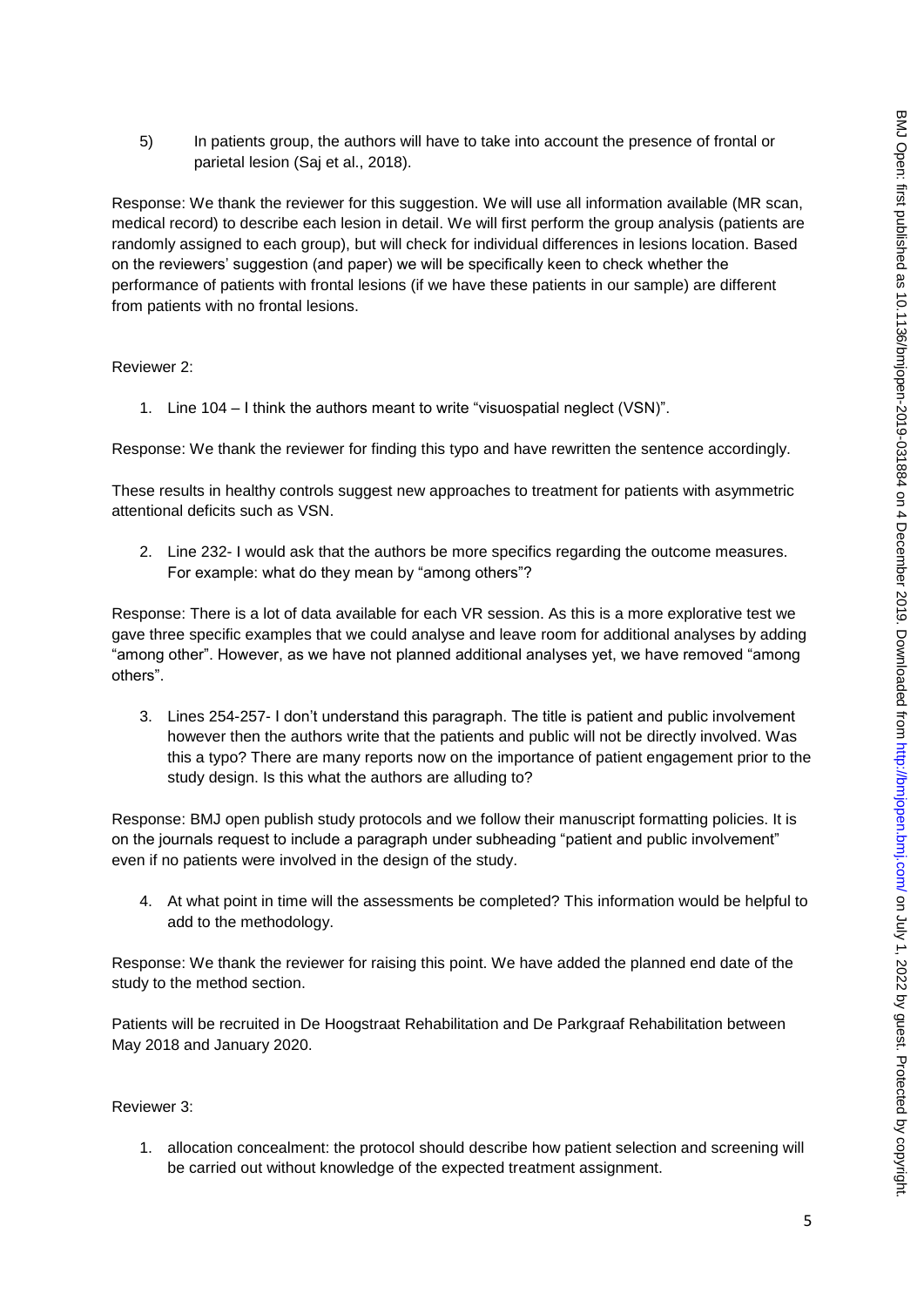5) In patients group, the authors will have to take into account the presence of frontal or parietal lesion (Saj et al., 2018).

Response: We thank the reviewer for this suggestion. We will use all information available (MR scan, medical record) to describe each lesion in detail. We will first perform the group analysis (patients are randomly assigned to each group), but will check for individual differences in lesions location. Based on the reviewers' suggestion (and paper) we will be specifically keen to check whether the performance of patients with frontal lesions (if we have these patients in our sample) are different from patients with no frontal lesions.

### Reviewer 2:

1. Line 104 – I think the authors meant to write "visuospatial neglect (VSN)".

Response: We thank the reviewer for finding this typo and have rewritten the sentence accordingly.

These results in healthy controls suggest new approaches to treatment for patients with asymmetric attentional deficits such as VSN.

2. Line 232- I would ask that the authors be more specifics regarding the outcome measures. For example: what do they mean by "among others"?

Response: There is a lot of data available for each VR session. As this is a more explorative test we gave three specific examples that we could analyse and leave room for additional analyses by adding "among other". However, as we have not planned additional analyses yet, we have removed "among others".

3. Lines 254-257- I don't understand this paragraph. The title is patient and public involvement however then the authors write that the patients and public will not be directly involved. Was this a typo? There are many reports now on the importance of patient engagement prior to the study design. Is this what the authors are alluding to?

Response: BMJ open publish study protocols and we follow their manuscript formatting policies. It is on the journals request to include a paragraph under subheading "patient and public involvement" even if no patients were involved in the design of the study.

4. At what point in time will the assessments be completed? This information would be helpful to add to the methodology.

Response: We thank the reviewer for raising this point. We have added the planned end date of the study to the method section.

Patients will be recruited in De Hoogstraat Rehabilitation and De Parkgraaf Rehabilitation between May 2018 and January 2020.

### Reviewer 3:

1. allocation concealment: the protocol should describe how patient selection and screening will be carried out without knowledge of the expected treatment assignment.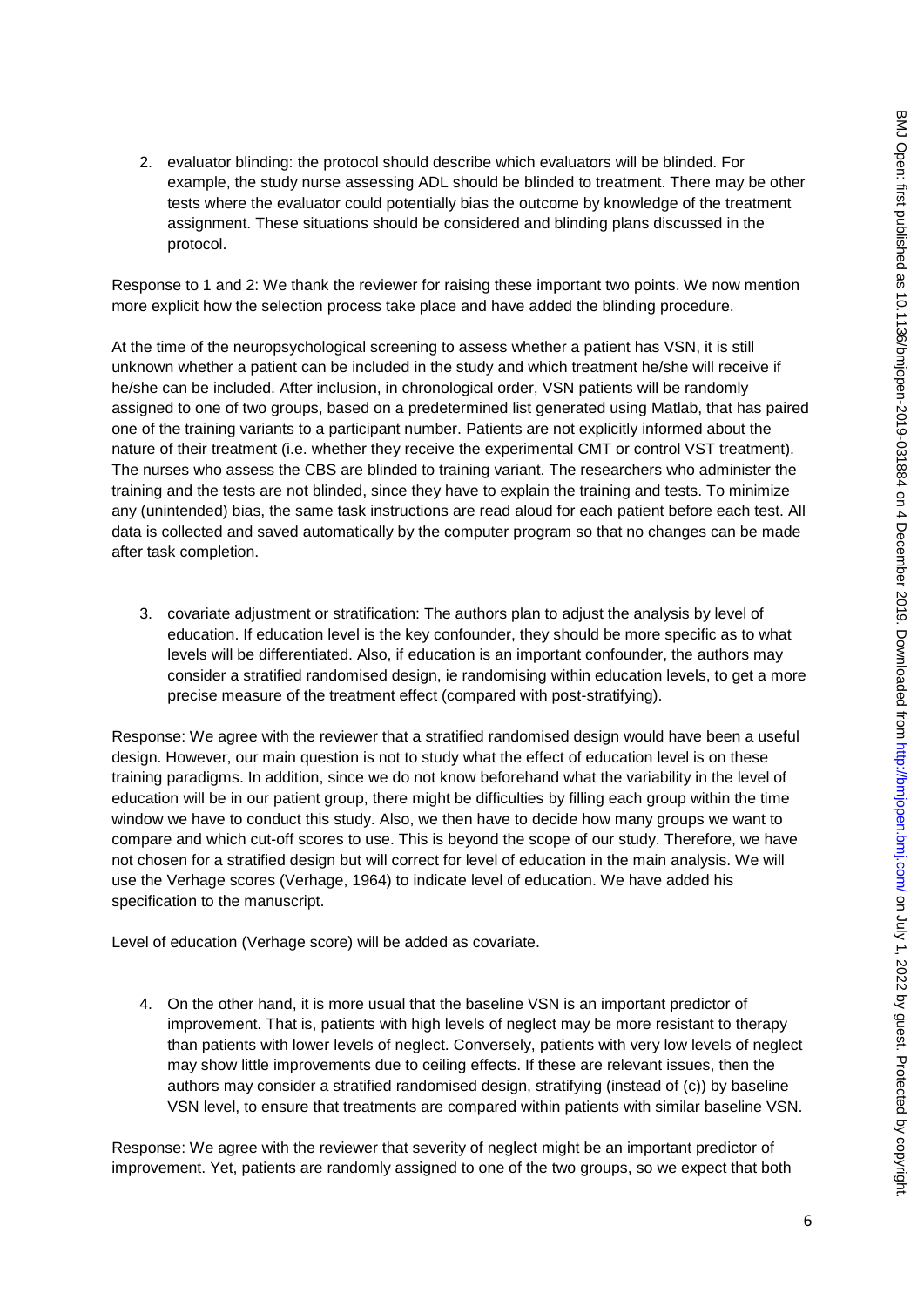2. evaluator blinding: the protocol should describe which evaluators will be blinded. For example, the study nurse assessing ADL should be blinded to treatment. There may be other tests where the evaluator could potentially bias the outcome by knowledge of the treatment assignment. These situations should be considered and blinding plans discussed in the protocol.

Response to 1 and 2: We thank the reviewer for raising these important two points. We now mention more explicit how the selection process take place and have added the blinding procedure.

At the time of the neuropsychological screening to assess whether a patient has VSN, it is still unknown whether a patient can be included in the study and which treatment he/she will receive if he/she can be included. After inclusion, in chronological order, VSN patients will be randomly assigned to one of two groups, based on a predetermined list generated using Matlab, that has paired one of the training variants to a participant number. Patients are not explicitly informed about the nature of their treatment (i.e. whether they receive the experimental CMT or control VST treatment). The nurses who assess the CBS are blinded to training variant. The researchers who administer the training and the tests are not blinded, since they have to explain the training and tests. To minimize any (unintended) bias, the same task instructions are read aloud for each patient before each test. All data is collected and saved automatically by the computer program so that no changes can be made after task completion.

3. covariate adjustment or stratification: The authors plan to adjust the analysis by level of education. If education level is the key confounder, they should be more specific as to what levels will be differentiated. Also, if education is an important confounder, the authors may consider a stratified randomised design, ie randomising within education levels, to get a more precise measure of the treatment effect (compared with post-stratifying).

Response: We agree with the reviewer that a stratified randomised design would have been a useful design. However, our main question is not to study what the effect of education level is on these training paradigms. In addition, since we do not know beforehand what the variability in the level of education will be in our patient group, there might be difficulties by filling each group within the time window we have to conduct this study. Also, we then have to decide how many groups we want to compare and which cut-off scores to use. This is beyond the scope of our study. Therefore, we have not chosen for a stratified design but will correct for level of education in the main analysis. We will use the Verhage scores (Verhage, 1964) to indicate level of education. We have added his specification to the manuscript.

Level of education (Verhage score) will be added as covariate.

4. On the other hand, it is more usual that the baseline VSN is an important predictor of improvement. That is, patients with high levels of neglect may be more resistant to therapy than patients with lower levels of neglect. Conversely, patients with very low levels of neglect may show little improvements due to ceiling effects. If these are relevant issues, then the authors may consider a stratified randomised design, stratifying (instead of (c)) by baseline VSN level, to ensure that treatments are compared within patients with similar baseline VSN.

Response: We agree with the reviewer that severity of neglect might be an important predictor of improvement. Yet, patients are randomly assigned to one of the two groups, so we expect that both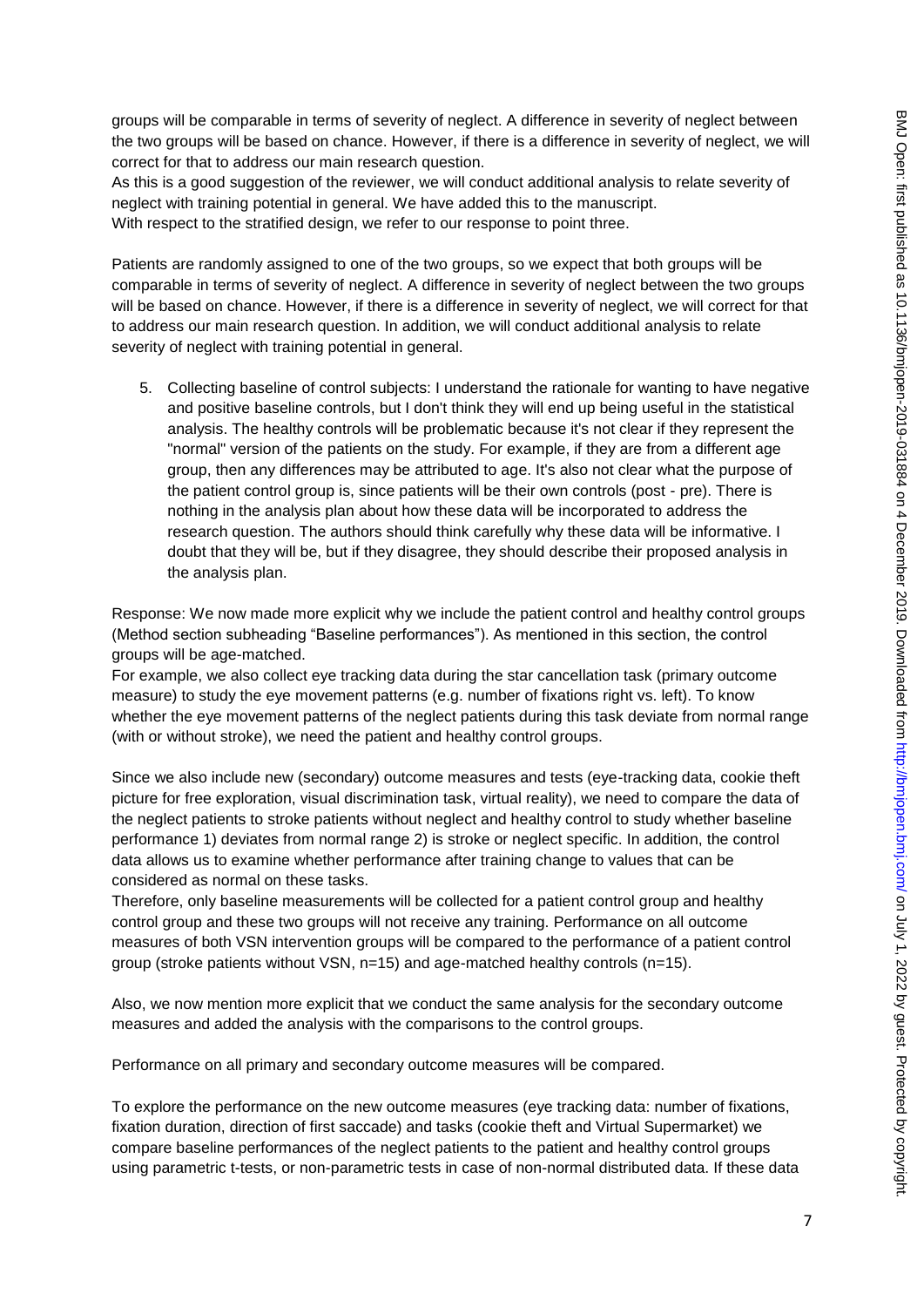groups will be comparable in terms of severity of neglect. A difference in severity of neglect between the two groups will be based on chance. However, if there is a difference in severity of neglect, we will correct for that to address our main research question.

As this is a good suggestion of the reviewer, we will conduct additional analysis to relate severity of neglect with training potential in general. We have added this to the manuscript. With respect to the stratified design, we refer to our response to point three.

Patients are randomly assigned to one of the two groups, so we expect that both groups will be comparable in terms of severity of neglect. A difference in severity of neglect between the two groups will be based on chance. However, if there is a difference in severity of neglect, we will correct for that to address our main research question. In addition, we will conduct additional analysis to relate severity of neglect with training potential in general.

5. Collecting baseline of control subjects: I understand the rationale for wanting to have negative and positive baseline controls, but I don't think they will end up being useful in the statistical analysis. The healthy controls will be problematic because it's not clear if they represent the "normal" version of the patients on the study. For example, if they are from a different age group, then any differences may be attributed to age. It's also not clear what the purpose of the patient control group is, since patients will be their own controls (post - pre). There is nothing in the analysis plan about how these data will be incorporated to address the research question. The authors should think carefully why these data will be informative. I doubt that they will be, but if they disagree, they should describe their proposed analysis in the analysis plan.

Response: We now made more explicit why we include the patient control and healthy control groups (Method section subheading "Baseline performances"). As mentioned in this section, the control groups will be age-matched.

For example, we also collect eye tracking data during the star cancellation task (primary outcome measure) to study the eye movement patterns (e.g. number of fixations right vs. left). To know whether the eye movement patterns of the neglect patients during this task deviate from normal range (with or without stroke), we need the patient and healthy control groups.

Since we also include new (secondary) outcome measures and tests (eye-tracking data, cookie theft picture for free exploration, visual discrimination task, virtual reality), we need to compare the data of the neglect patients to stroke patients without neglect and healthy control to study whether baseline performance 1) deviates from normal range 2) is stroke or neglect specific. In addition, the control data allows us to examine whether performance after training change to values that can be considered as normal on these tasks.

Therefore, only baseline measurements will be collected for a patient control group and healthy control group and these two groups will not receive any training. Performance on all outcome measures of both VSN intervention groups will be compared to the performance of a patient control group (stroke patients without VSN, n=15) and age-matched healthy controls (n=15).

Also, we now mention more explicit that we conduct the same analysis for the secondary outcome measures and added the analysis with the comparisons to the control groups.

Performance on all primary and secondary outcome measures will be compared.

To explore the performance on the new outcome measures (eye tracking data: number of fixations, fixation duration, direction of first saccade) and tasks (cookie theft and Virtual Supermarket) we compare baseline performances of the neglect patients to the patient and healthy control groups using parametric t-tests, or non-parametric tests in case of non-normal distributed data. If these data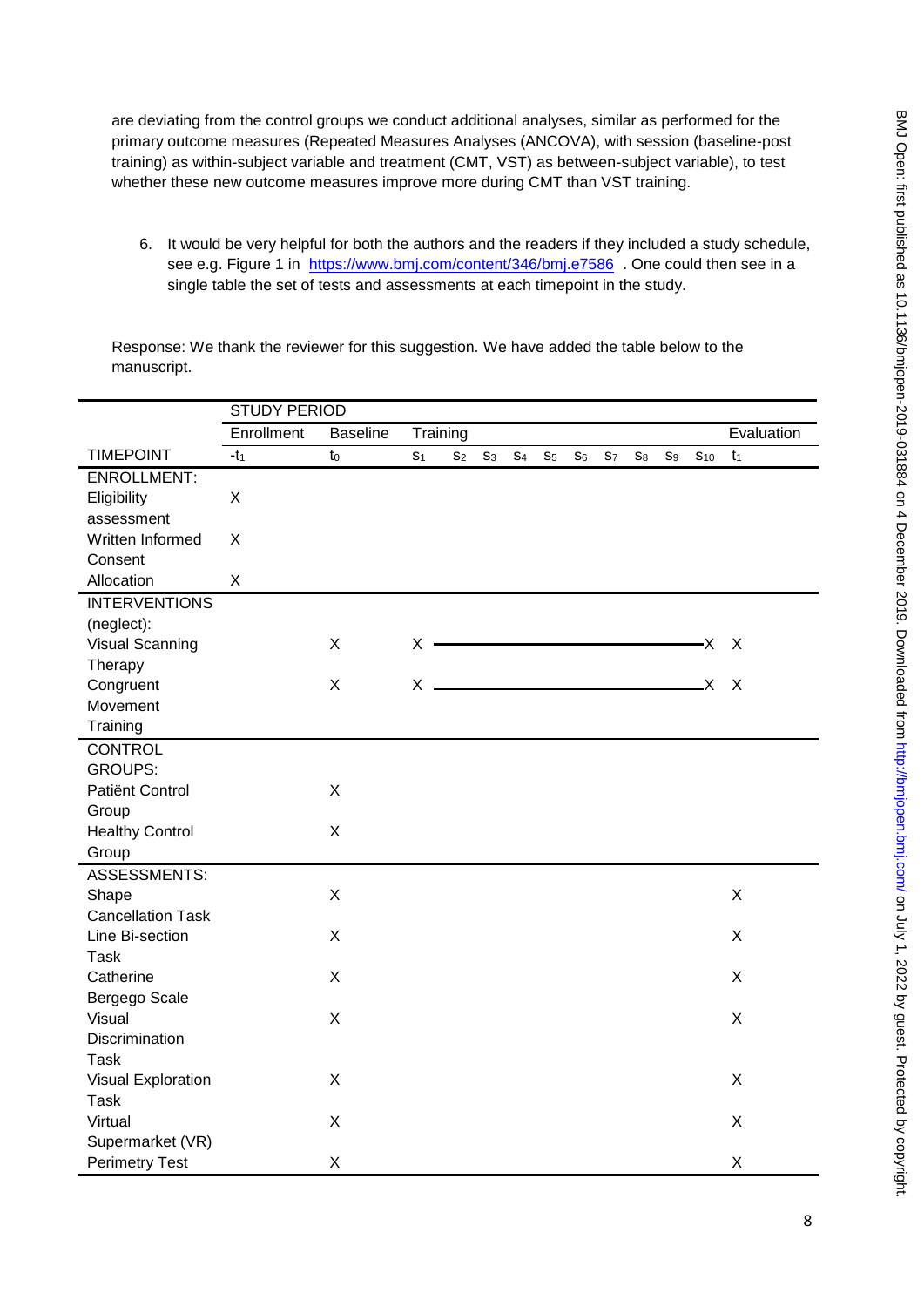are deviating from the control groups we conduct additional analyses, similar as performed for the primary outcome measures (Repeated Measures Analyses (ANCOVA), with session (baseline-post training) as within-subject variable and treatment (CMT, VST) as between-subject variable), to test whether these new outcome measures improve more during CMT than VST training.

6. It would be very helpful for both the authors and the readers if they included a study schedule, see e.g. Figure 1 in <https://www.bmj.com/content/346/bmj.e7586> . One could then see in a single table the set of tests and assessments at each timepoint in the study.

Response: We thank the reviewer for this suggestion. We have added the table below to the manuscript.

|                          | <b>STUDY PERIOD</b> |                 |                |                |                |                |                |                |            |                |                |                 |            |
|--------------------------|---------------------|-----------------|----------------|----------------|----------------|----------------|----------------|----------------|------------|----------------|----------------|-----------------|------------|
|                          | Enrollment          | <b>Baseline</b> | Training       |                |                |                |                |                |            |                |                |                 | Evaluation |
| <b>TIMEPOINT</b>         | $-t_1$              | t <sub>0</sub>  | S <sub>1</sub> | S <sub>2</sub> | S <sub>3</sub> | S <sub>4</sub> | S <sub>5</sub> | S <sub>6</sub> | <b>S</b> 7 | S <sub>8</sub> | S <sub>9</sub> | S <sub>10</sub> | $t_1$      |
| <b>ENROLLMENT:</b>       |                     |                 |                |                |                |                |                |                |            |                |                |                 |            |
| Eligibility              | X                   |                 |                |                |                |                |                |                |            |                |                |                 |            |
| assessment               |                     |                 |                |                |                |                |                |                |            |                |                |                 |            |
| Written Informed         | X                   |                 |                |                |                |                |                |                |            |                |                |                 |            |
| Consent                  |                     |                 |                |                |                |                |                |                |            |                |                |                 |            |
| Allocation               | X                   |                 |                |                |                |                |                |                |            |                |                |                 |            |
| <b>INTERVENTIONS</b>     |                     |                 |                |                |                |                |                |                |            |                |                |                 |            |
| (neglect):               |                     |                 |                |                |                |                |                |                |            |                |                |                 |            |
| Visual Scanning          |                     | X               | X              |                |                |                |                |                |            |                |                | -X              | $\times$   |
| Therapy                  |                     |                 |                |                |                |                |                |                |            |                |                |                 |            |
| Congruent                |                     | X               | X              |                |                |                |                |                |            |                |                | X.              | X          |
| Movement                 |                     |                 |                |                |                |                |                |                |            |                |                |                 |            |
| Training                 |                     |                 |                |                |                |                |                |                |            |                |                |                 |            |
| <b>CONTROL</b>           |                     |                 |                |                |                |                |                |                |            |                |                |                 |            |
| <b>GROUPS:</b>           |                     |                 |                |                |                |                |                |                |            |                |                |                 |            |
| Patiënt Control          |                     | X               |                |                |                |                |                |                |            |                |                |                 |            |
| Group                    |                     |                 |                |                |                |                |                |                |            |                |                |                 |            |
| <b>Healthy Control</b>   |                     | X               |                |                |                |                |                |                |            |                |                |                 |            |
| Group                    |                     |                 |                |                |                |                |                |                |            |                |                |                 |            |
| ASSESSMENTS:             |                     |                 |                |                |                |                |                |                |            |                |                |                 |            |
| Shape                    |                     | X               |                |                |                |                |                |                |            |                |                |                 | X          |
| <b>Cancellation Task</b> |                     |                 |                |                |                |                |                |                |            |                |                |                 |            |
| Line Bi-section          |                     | X               |                |                |                |                |                |                |            |                |                |                 | X          |
| <b>Task</b>              |                     |                 |                |                |                |                |                |                |            |                |                |                 |            |
| Catherine                |                     | X               |                |                |                |                |                |                |            |                |                |                 | X          |
| Bergego Scale            |                     |                 |                |                |                |                |                |                |            |                |                |                 |            |
| Visual                   |                     | X               |                |                |                |                |                |                |            |                |                |                 | X          |
| Discrimination           |                     |                 |                |                |                |                |                |                |            |                |                |                 |            |
| <b>Task</b>              |                     |                 |                |                |                |                |                |                |            |                |                |                 |            |
| Visual Exploration       |                     | X               |                |                |                |                |                |                |            |                |                |                 | X          |
| <b>Task</b>              |                     |                 |                |                |                |                |                |                |            |                |                |                 |            |
| Virtual                  |                     | X               |                |                |                |                |                |                |            |                |                |                 | X          |
| Supermarket (VR)         |                     |                 |                |                |                |                |                |                |            |                |                |                 |            |
| <b>Perimetry Test</b>    |                     | X               |                |                |                |                |                |                |            |                |                |                 | X          |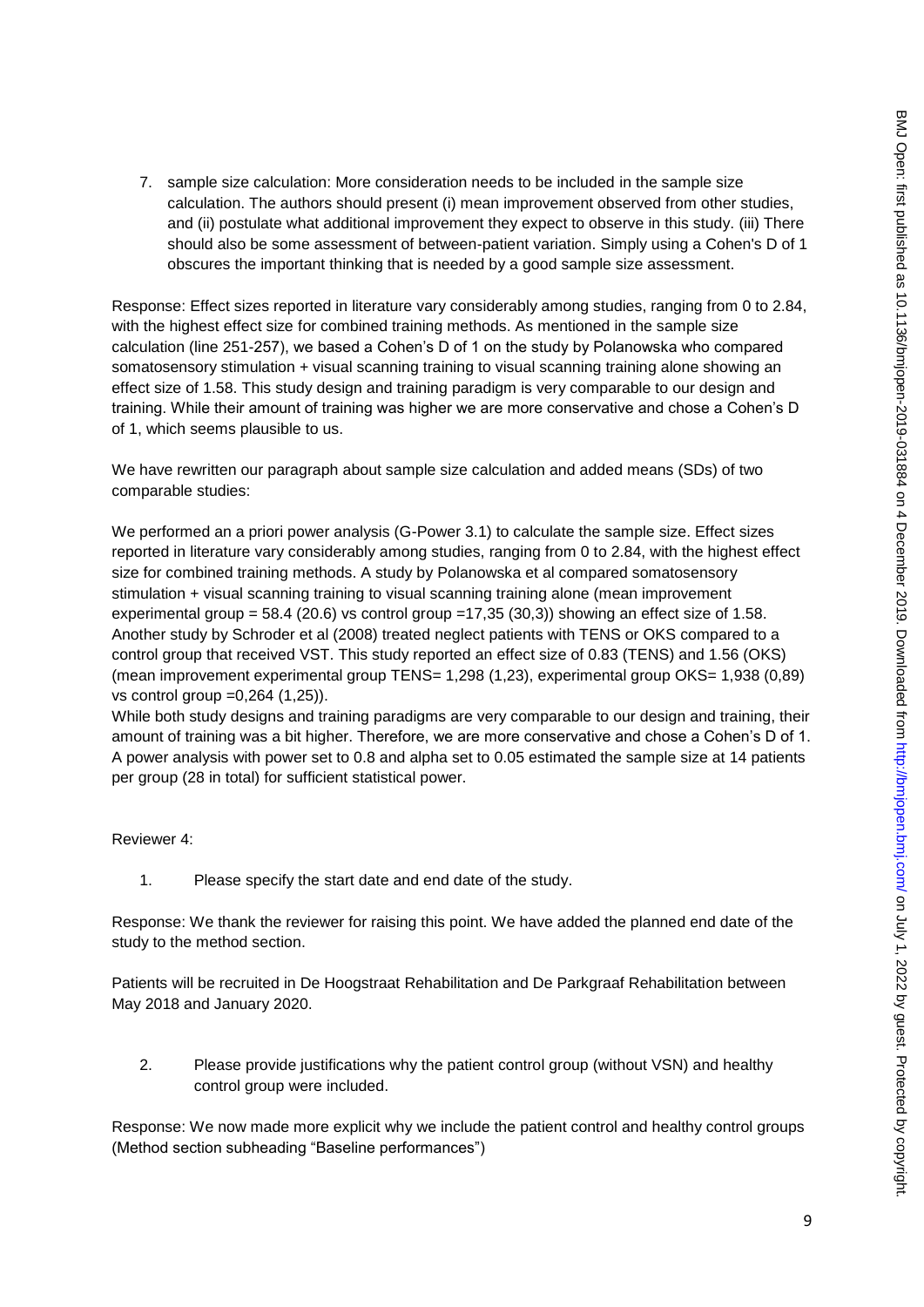7. sample size calculation: More consideration needs to be included in the sample size calculation. The authors should present (i) mean improvement observed from other studies, and (ii) postulate what additional improvement they expect to observe in this study. (iii) There should also be some assessment of between-patient variation. Simply using a Cohen's D of 1 obscures the important thinking that is needed by a good sample size assessment.

Response: Effect sizes reported in literature vary considerably among studies, ranging from 0 to 2.84, with the highest effect size for combined training methods. As mentioned in the sample size calculation (line 251-257), we based a Cohen's D of 1 on the study by Polanowska who compared somatosensory stimulation + visual scanning training to visual scanning training alone showing an effect size of 1.58. This study design and training paradigm is very comparable to our design and training. While their amount of training was higher we are more conservative and chose a Cohen's D of 1, which seems plausible to us.

We have rewritten our paragraph about sample size calculation and added means (SDs) of two comparable studies:

We performed an a priori power analysis (G-Power 3.1) to calculate the sample size. Effect sizes reported in literature vary considerably among studies, ranging from 0 to 2.84, with the highest effect size for combined training methods. A study by Polanowska et al compared somatosensory stimulation + visual scanning training to visual scanning training alone (mean improvement experimental group =  $58.4$  (20.6) vs control group =  $17,35$  (30.3)) showing an effect size of 1.58. Another study by Schroder et al (2008) treated neglect patients with TENS or OKS compared to a control group that received VST. This study reported an effect size of 0.83 (TENS) and 1.56 (OKS) (mean improvement experimental group TENS= 1,298 (1,23), experimental group OKS= 1,938 (0,89) vs control group =0,264 (1,25)).

While both study designs and training paradigms are very comparable to our design and training, their amount of training was a bit higher. Therefore, we are more conservative and chose a Cohen's D of 1. A power analysis with power set to 0.8 and alpha set to 0.05 estimated the sample size at 14 patients per group (28 in total) for sufficient statistical power.

Reviewer 4:

1. Please specify the start date and end date of the study.

Response: We thank the reviewer for raising this point. We have added the planned end date of the study to the method section.

Patients will be recruited in De Hoogstraat Rehabilitation and De Parkgraaf Rehabilitation between May 2018 and January 2020.

2. Please provide justifications why the patient control group (without VSN) and healthy control group were included.

Response: We now made more explicit why we include the patient control and healthy control groups (Method section subheading "Baseline performances")